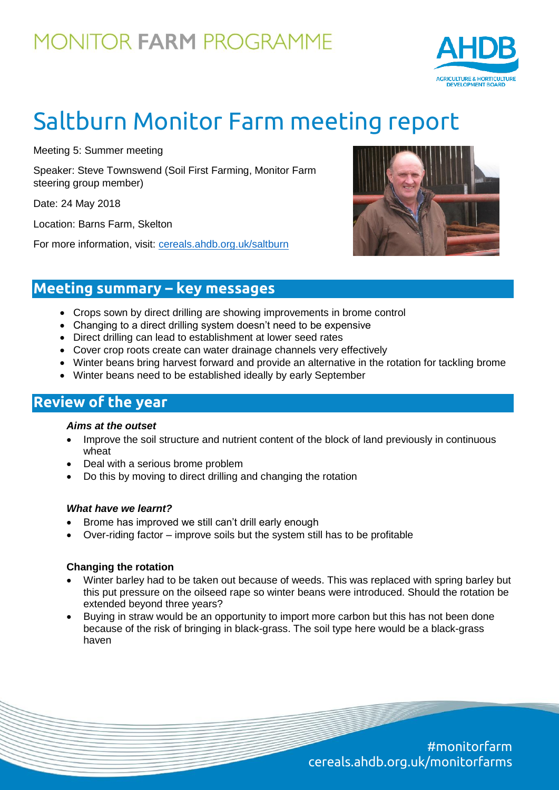## **MONITOR FARM PROGRAMME**



# Saltburn Monitor Farm meeting report

Meeting 5: Summer meeting

Speaker: Steve Townswend (Soil First Farming, Monitor Farm steering group member)

Date: 24 May 2018

Location: Barns Farm, Skelton

For more information, visit: [cereals.ahdb.org.uk/saltburn](https://cereals.ahdb.org.uk/get-involved/monitorfarms/saltburn-monitor-farm.aspx)



### **Meeting summary – key messages**

- Crops sown by direct drilling are showing improvements in brome control
- Changing to a direct drilling system doesn't need to be expensive
- Direct drilling can lead to establishment at lower seed rates
- Cover crop roots create can water drainage channels very effectively
- Winter beans bring harvest forward and provide an alternative in the rotation for tackling brome
- Winter beans need to be established ideally by early September

### **Review of the year**

#### *Aims at the outset*

- Improve the soil structure and nutrient content of the block of land previously in continuous wheat
- Deal with a serious brome problem
- Do this by moving to direct drilling and changing the rotation

#### *What have we learnt?*

- Brome has improved we still can't drill early enough
- Over-riding factor improve soils but the system still has to be profitable

#### **Changing the rotation**

- Winter barley had to be taken out because of weeds. This was replaced with spring barley but this put pressure on the oilseed rape so winter beans were introduced. Should the rotation be extended beyond three years?
- Buying in straw would be an opportunity to import more carbon but this has not been done because of the risk of bringing in black-grass. The soil type here would be a black-grass haven

#monitorfarm cereals.ahdb.org.uk/monitorfarms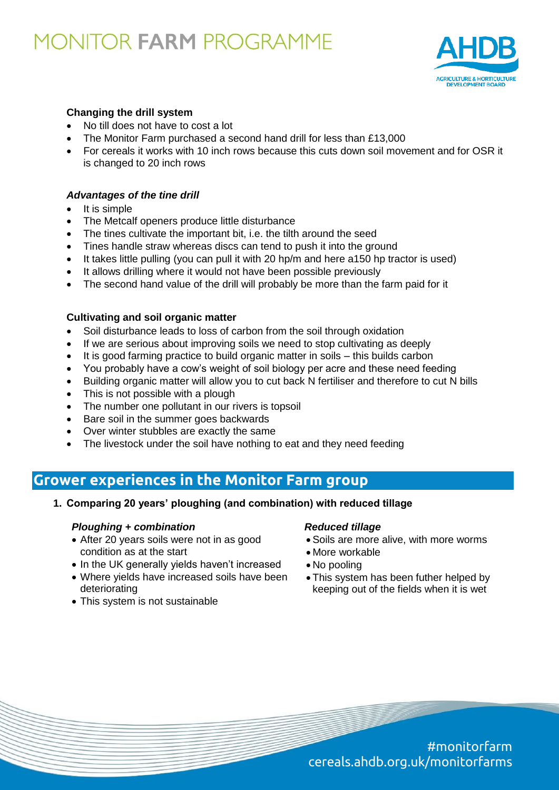## **MONITOR FARM PROGRAMME**



#### **Changing the drill system**

- No till does not have to cost a lot
- The Monitor Farm purchased a second hand drill for less than £13,000
- For cereals it works with 10 inch rows because this cuts down soil movement and for OSR it is changed to 20 inch rows

#### *Advantages of the tine drill*

- $\bullet$  It is simple
- The Metcalf openers produce little disturbance
- The tines cultivate the important bit, i.e. the tilth around the seed
- Tines handle straw whereas discs can tend to push it into the ground
- It takes little pulling (you can pull it with 20 hp/m and here a150 hp tractor is used)
- It allows drilling where it would not have been possible previously
- The second hand value of the drill will probably be more than the farm paid for it

#### **Cultivating and soil organic matter**

- Soil disturbance leads to loss of carbon from the soil through oxidation
- If we are serious about improving soils we need to stop cultivating as deeply
- It is good farming practice to build organic matter in soils this builds carbon
- You probably have a cow's weight of soil biology per acre and these need feeding
- Building organic matter will allow you to cut back N fertiliser and therefore to cut N bills
- This is not possible with a plough
- The number one pollutant in our rivers is topsoil
- Bare soil in the summer goes backwards
- Over winter stubbles are exactly the same
- The livestock under the soil have nothing to eat and they need feeding

### **Grower experiences in the Monitor Farm group**

**1. Comparing 20 years' ploughing (and combination) with reduced tillage**

#### *Ploughing + combination*

- After 20 years soils were not in as good condition as at the start
- In the UK generally yields haven't increased
- Where yields have increased soils have been deteriorating
- This system is not sustainable

#### *Reduced tillage*

- Soils are more alive, with more worms
- More workable
- No pooling
- This system has been futher helped by keeping out of the fields when it is wet

#monitorfarm cereals.ahdb.org.uk/monitorfarms